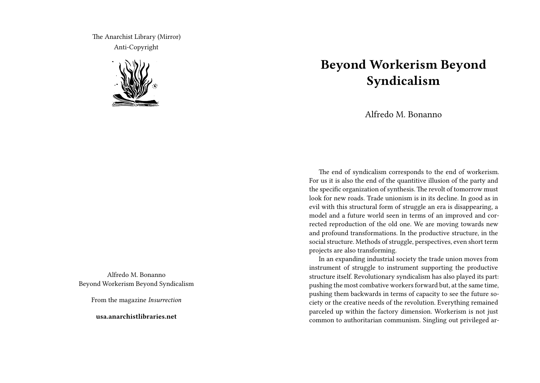The Anarchist Library (Mirror) Anti-Copyright



Alfredo M. Bonanno Beyond Workerism Beyond Syndicalism

From the magazine *Insurrection*

**usa.anarchistlibraries.net**

## **Beyond Workerism Beyond Syndicalism**

Alfredo M. Bonanno

The end of syndicalism corresponds to the end of workerism. For us it is also the end of the quantitive illusion of the party and the specific organization of synthesis. The revolt of tomorrow must look for new roads. Trade unionism is in its decline. In good as in evil with this structural form of struggle an era is disappearing, a model and a future world seen in terms of an improved and corrected reproduction of the old one. We are moving towards new and profound transformations. In the productive structure, in the social structure. Methods of struggle, perspectives, even short term projects are also transforming.

In an expanding industrial society the trade union moves from instrument of struggle to instrument supporting the productive structure itself. Revolutionary syndicalism has also played its part: pushing the most combative workers forward but, at the same time, pushing them backwards in terms of capacity to see the future society or the creative needs of the revolution. Everything remained parceled up within the factory dimension. Workerism is not just common to authoritarian communism. Singling out privileged ar